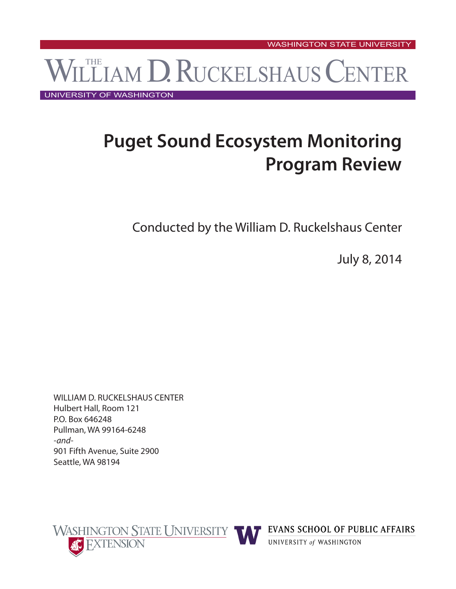# WILLIAM D. RUCKELSHAUS CENTER

UNIVERSITY OF WASHINGTON

## **Puget Sound Ecosystem Monitoring Program Review**

Conducted by the William D. Ruckelshaus Center

July 8, 2014

WILLIAM D. RUCKELSHAUS CENTER Hulbert Hall, Room 121 P.O. Box 646248 Pullman, WA 99164-6248 *-and-*901 Fifth Avenue, Suite 2900 Seattle, WA 98194





**EVANS SCHOOL OF PUBLIC AFFAIRS** 

UNIVERSITY of WASHINGTON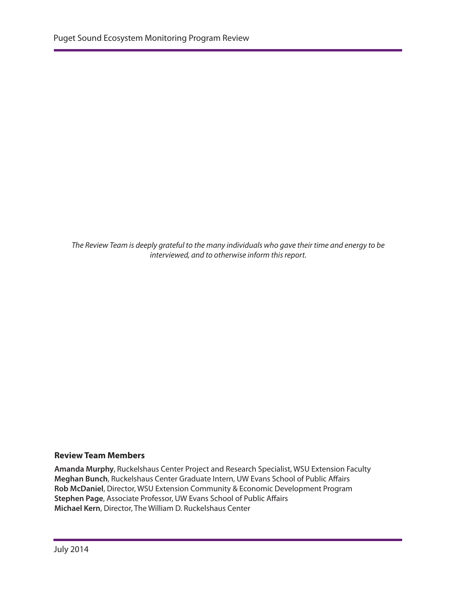*The Review Team is deeply grateful to the many individuals who gave their time and energy to be interviewed, and to otherwise inform this report.*

#### **Review Team Members**

**Amanda Murphy**, Ruckelshaus Center Project and Research Specialist, WSU Extension Faculty **Meghan Bunch**, Ruckelshaus Center Graduate Intern, UW Evans School of Public Affairs **Rob McDaniel**, Director, WSU Extension Community & Economic Development Program **Stephen Page**, Associate Professor, UW Evans School of Public Affairs **Michael Kern**, Director, The William D. Ruckelshaus Center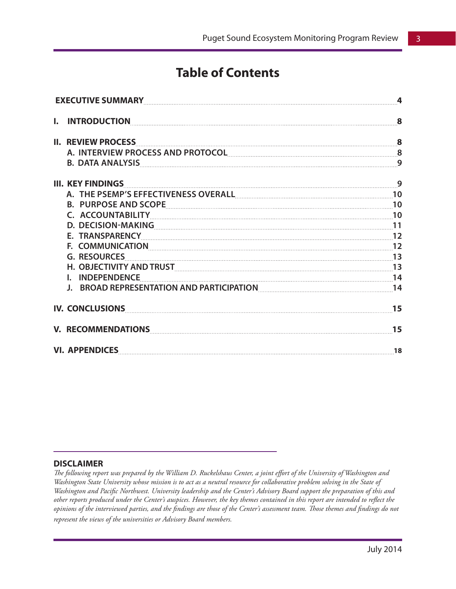## **Table of Contents**

| EXECUTIVE SUMMARY 4 |                                                                                                                                                                                                                                      |    |
|---------------------|--------------------------------------------------------------------------------------------------------------------------------------------------------------------------------------------------------------------------------------|----|
| I.                  | INTRODUCTION 8                                                                                                                                                                                                                       |    |
|                     | II. REVIEW PROCESS <u>Express and a series of the series of the series of the series of the series of the series of the series of the series of the series of the series of the series of the series of the series of the series</u> |    |
|                     | A. INTERVIEW PROCESS AND PROTOCOL 8                                                                                                                                                                                                  |    |
|                     | 9. DATA ANALYSIS ANALYSIS ANALYSIS ANALYSIS AND RELEVEN BE ON MARKET AND RELEVEN BE ON MARKET AND RELEVEN BE O                                                                                                                       |    |
|                     |                                                                                                                                                                                                                                      |    |
|                     | A. THE PSEMP'S EFFECTIVENESS OVERALL [10] [10] THE PSEMP'S EFFECTIVENESS OVERALL                                                                                                                                                     |    |
|                     |                                                                                                                                                                                                                                      |    |
|                     | C. ACCOUNTABILITY [10] 10                                                                                                                                                                                                            |    |
|                     | D. DECISION-MAKING 11                                                                                                                                                                                                                |    |
|                     |                                                                                                                                                                                                                                      |    |
|                     | F. COMMUNICATION 22                                                                                                                                                                                                                  |    |
|                     | G. RESOURCES 13                                                                                                                                                                                                                      |    |
|                     | H. OBJECTIVITY AND TRUST ENTITLED TO A 23 YO F. 23 YO F. 24 YO F. 25 YO F. 25 YO F. 25 YO F. 2010                                                                                                                                    |    |
|                     | I. INDEPENDENCE 14                                                                                                                                                                                                                   |    |
|                     | J. BROAD REPRESENTATION AND PARTICIPATION ENTITLED AT A 14                                                                                                                                                                           |    |
|                     | IV. CONCLUSIONS PARAMETERS AND RESERVE TO A CONCLUSIONS                                                                                                                                                                              | 15 |
|                     | V. RECOMMENDATIONS Express and the contract of the contract of the contract of the contract of the contract of the contract of the contract of the contract of the contract of the contract of the contract of the contract of       | 15 |
|                     |                                                                                                                                                                                                                                      |    |

#### **DISCLAIMER**

*The following report was prepared by the William D. Ruckelshaus Center, a joint effort of the University of Washington and Washington State University whose mission is to act as a neutral resource for collaborative problem solving in the State of Washington and Pacific Northwest. University leadership and the Center's Advisory Board support the preparation of this and other reports produced under the Center's auspices. However, the key themes contained in this report are intended to reflect the opinions of the interviewed parties, and the findings are those of the Center's assessment team. Those themes and findings do not represent the views of the universities or Advisory Board members.*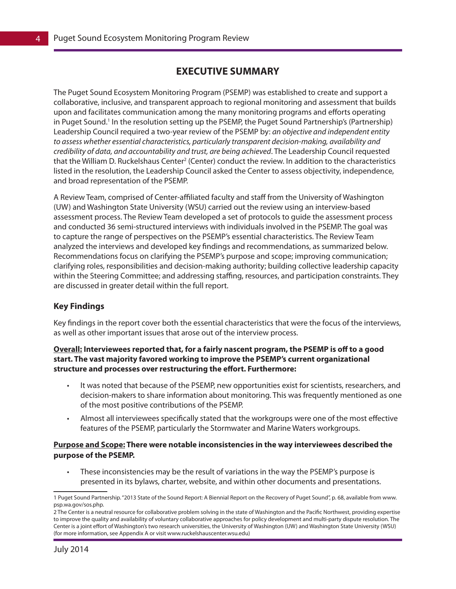## **EXECUTIVE SUMMARY**

The Puget Sound Ecosystem Monitoring Program (PSEMP) was established to create and support a collaborative, inclusive, and transparent approach to regional monitoring and assessment that builds upon and facilitates communication among the many monitoring programs and efforts operating in Puget Sound.<sup>1</sup> In the resolution setting up the PSEMP, the Puget Sound Partnership's (Partnership) Leadership Council required a two-year review of the PSEMP by: *an objective and independent entity to assess whether essential characteristics, particularly transparent decision-making, availability and credibility of data, and accountability and trust, are being achieved*. The Leadership Council requested that the William D. Ruckelshaus Center<sup>2</sup> (Center) conduct the review. In addition to the characteristics listed in the resolution, the Leadership Council asked the Center to assess objectivity, independence, and broad representation of the PSEMP.

A Review Team, comprised of Center-affiliated faculty and staff from the University of Washington (UW) and Washington State University (WSU) carried out the review using an interview-based assessment process. The Review Team developed a set of protocols to guide the assessment process and conducted 36 semi-structured interviews with individuals involved in the PSEMP. The goal was to capture the range of perspectives on the PSEMP's essential characteristics. The Review Team analyzed the interviews and developed key findings and recommendations, as summarized below. Recommendations focus on clarifying the PSEMP's purpose and scope; improving communication; clarifying roles, responsibilities and decision-making authority; building collective leadership capacity within the Steering Committee; and addressing staffing, resources, and participation constraints. They are discussed in greater detail within the full report.

#### **Key Findings**

Key findings in the report cover both the essential characteristics that were the focus of the interviews, as well as other important issues that arose out of the interview process.

#### **Overall: Interviewees reported that, for a fairly nascent program, the PSEMP is off to a good start. The vast majority favored working to improve the PSEMP's current organizational structure and processes over restructuring the effort. Furthermore:**

- It was noted that because of the PSEMP, new opportunities exist for scientists, researchers, and decision-makers to share information about monitoring. This was frequently mentioned as one of the most positive contributions of the PSEMP.
- Almost all interviewees specifically stated that the workgroups were one of the most effective features of the PSEMP, particularly the Stormwater and Marine Waters workgroups.

#### **Purpose and Scope: There were notable inconsistencies in the way interviewees described the purpose of the PSEMP.**

These inconsistencies may be the result of variations in the way the PSEMP's purpose is presented in its bylaws, charter, website, and within other documents and presentations.

<sup>1</sup> Puget Sound Partnership. "2013 State of the Sound Report: A Biennial Report on the Recovery of Puget Sound", p. 68, available from www. psp.wa.gov/sos.php.

<sup>2</sup> The Center is a neutral resource for collaborative problem solving in the state of Washington and the Pacific Northwest, providing expertise to improve the quality and availability of voluntary collaborative approaches for policy development and multi-party dispute resolution. The Center is a joint effort of Washington's two research universities, the University of Washington (UW) and Washington State University (WSU) (for more information, see Appendix A or visit www.ruckelshauscenter.wsu.edu)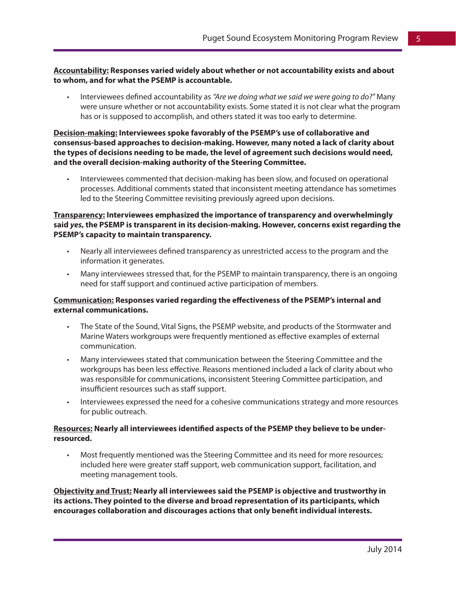#### **Accountability: Responses varied widely about whether or not accountability exists and about to whom, and for what the PSEMP is accountable.**

Interviewees defined accountability as "Are we doing what we said we were going to do?" Many were unsure whether or not accountability exists. Some stated it is not clear what the program has or is supposed to accomplish, and others stated it was too early to determine.

#### **Decision-making: Interviewees spoke favorably of the PSEMP's use of collaborative and consensus-based approaches to decision-making. However, many noted a lack of clarity about the types of decisions needing to be made, the level of agreement such decisions would need, and the overall decision-making authority of the Steering Committee.**

Interviewees commented that decision-making has been slow, and focused on operational processes. Additional comments stated that inconsistent meeting attendance has sometimes led to the Steering Committee revisiting previously agreed upon decisions.

#### **Transparency: Interviewees emphasized the importance of transparency and overwhelmingly said** *yes***, the PSEMP is transparent in its decision-making. However, concerns exist regarding the PSEMP's capacity to maintain transparency.**

- Nearly all interviewees defined transparency as unrestricted access to the program and the information it generates.
- Many interviewees stressed that, for the PSEMP to maintain transparency, there is an ongoing need for staff support and continued active participation of members.

#### **Communication: Responses varied regarding the effectiveness of the PSEMP's internal and external communications.**

- The State of the Sound, Vital Signs, the PSEMP website, and products of the Stormwater and Marine Waters workgroups were frequently mentioned as effective examples of external communication.
- Many interviewees stated that communication between the Steering Committee and the workgroups has been less effective. Reasons mentioned included a lack of clarity about who was responsible for communications, inconsistent Steering Committee participation, and insufficient resources such as staff support.
- Interviewees expressed the need for a cohesive communications strategy and more resources for public outreach.

#### **Resources: Nearly all interviewees identified aspects of the PSEMP they believe to be underresourced.**

Most frequently mentioned was the Steering Committee and its need for more resources; included here were greater staff support, web communication support, facilitation, and meeting management tools.

**Objectivity and Trust: Nearly all interviewees said the PSEMP is objective and trustworthy in its actions. They pointed to the diverse and broad representation of its participants, which encourages collaboration and discourages actions that only benefit individual interests.**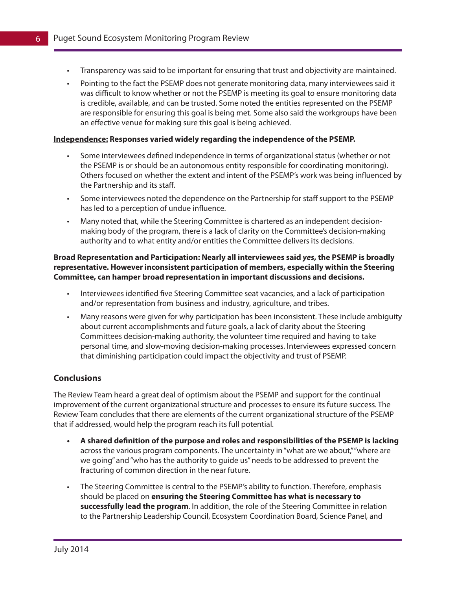- Transparency was said to be important for ensuring that trust and objectivity are maintained.
- Pointing to the fact the PSEMP does not generate monitoring data, many interviewees said it was difficult to know whether or not the PSEMP is meeting its goal to ensure monitoring data is credible, available, and can be trusted. Some noted the entities represented on the PSEMP are responsible for ensuring this goal is being met. Some also said the workgroups have been an effective venue for making sure this goal is being achieved.

#### **Independence: Responses varied widely regarding the independence of the PSEMP.**

- Some interviewees defined independence in terms of organizational status (whether or not the PSEMP is or should be an autonomous entity responsible for coordinating monitoring). Others focused on whether the extent and intent of the PSEMP's work was being influenced by the Partnership and its staff.
- • Some interviewees noted the dependence on the Partnership for staff support to the PSEMP has led to a perception of undue influence.
- Many noted that, while the Steering Committee is chartered as an independent decisionmaking body of the program, there is a lack of clarity on the Committee's decision-making authority and to what entity and/or entities the Committee delivers its decisions.

**Broad Representation and Participation: Nearly all interviewees said** *yes***, the PSEMP is broadly representative. However inconsistent participation of members, especially within the Steering Committee, can hamper broad representation in important discussions and decisions.**

- Interviewees identified five Steering Committee seat vacancies, and a lack of participation and/or representation from business and industry, agriculture, and tribes.
- Many reasons were given for why participation has been inconsistent. These include ambiguity about current accomplishments and future goals, a lack of clarity about the Steering Committees decision-making authority, the volunteer time required and having to take personal time, and slow-moving decision-making processes. Interviewees expressed concern that diminishing participation could impact the objectivity and trust of PSEMP.

#### **Conclusions**

The Review Team heard a great deal of optimism about the PSEMP and support for the continual improvement of the current organizational structure and processes to ensure its future success. The Review Team concludes that there are elements of the current organizational structure of the PSEMP that if addressed, would help the program reach its full potential.

- **• A shared definition of the purpose and roles and responsibilities of the PSEMP is lacking** across the various program components. The uncertainty in "what are we about," "where are we going" and "who has the authority to guide us" needs to be addressed to prevent the fracturing of common direction in the near future.
- The Steering Committee is central to the PSEMP's ability to function. Therefore, emphasis should be placed on **ensuring the Steering Committee has what is necessary to successfully lead the program**. In addition, the role of the Steering Committee in relation to the Partnership Leadership Council, Ecosystem Coordination Board, Science Panel, and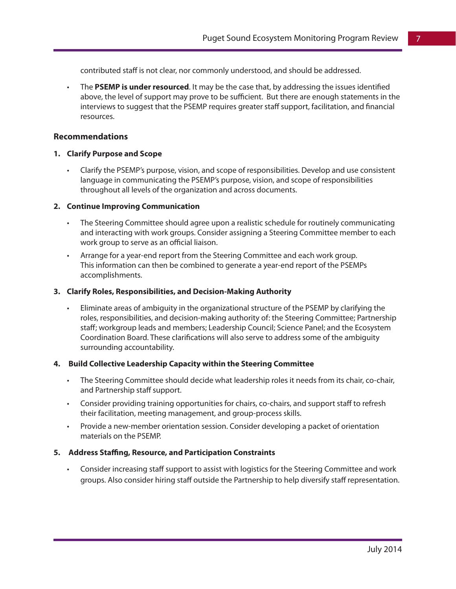contributed staff is not clear, nor commonly understood, and should be addressed.

The PSEMP is under resourced. It may be the case that, by addressing the issues identified above, the level of support may prove to be sufficient. But there are enough statements in the interviews to suggest that the PSEMP requires greater staff support, facilitation, and financial resources.

#### **Recommendations**

#### **1. Clarify Purpose and Scope**

Clarify the PSEMP's purpose, vision, and scope of responsibilities. Develop and use consistent language in communicating the PSEMP's purpose, vision, and scope of responsibilities throughout all levels of the organization and across documents.

#### **2. Continue Improving Communication**

- The Steering Committee should agree upon a realistic schedule for routinely communicating and interacting with work groups. Consider assigning a Steering Committee member to each work group to serve as an official liaison.
- • Arrange for a year-end report from the Steering Committee and each work group. This information can then be combined to generate a year-end report of the PSEMPs accomplishments.

#### **3. Clarify Roles, Responsibilities, and Decision-Making Authority**

Eliminate areas of ambiguity in the organizational structure of the PSEMP by clarifying the roles, responsibilities, and decision-making authority of: the Steering Committee; Partnership staff; workgroup leads and members; Leadership Council; Science Panel; and the Ecosystem Coordination Board. These clarifications will also serve to address some of the ambiguity surrounding accountability.

#### **4. Build Collective Leadership Capacity within the Steering Committee**

- • The Steering Committee should decide what leadership roles it needs from its chair, co-chair, and Partnership staff support.
- • Consider providing training opportunities for chairs, co-chairs, and support staff to refresh their facilitation, meeting management, and group-process skills.
- Provide a new-member orientation session. Consider developing a packet of orientation materials on the PSEMP.

#### **5. Address Staffing, Resource, and Participation Constraints**

Consider increasing staff support to assist with logistics for the Steering Committee and work groups. Also consider hiring staff outside the Partnership to help diversify staff representation.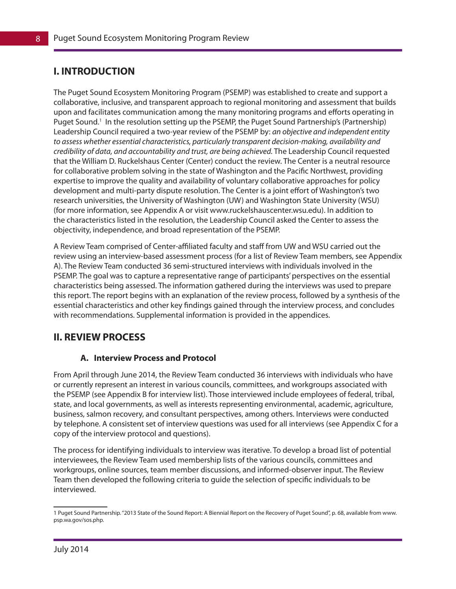## **I. INTRODUCTION**

The Puget Sound Ecosystem Monitoring Program (PSEMP) was established to create and support a collaborative, inclusive, and transparent approach to regional monitoring and assessment that builds upon and facilitates communication among the many monitoring programs and efforts operating in Puget Sound.<sup>1</sup> In the resolution setting up the PSEMP, the Puget Sound Partnership's (Partnership) Leadership Council required a two-year review of the PSEMP by: *an objective and independent entity to assess whether essential characteristics, particularly transparent decision-making, availability and credibility of data, and accountability and trust, are being achieved.* The Leadership Council requested that the William D. Ruckelshaus Center (Center) conduct the review. The Center is a neutral resource for collaborative problem solving in the state of Washington and the Pacific Northwest, providing expertise to improve the quality and availability of voluntary collaborative approaches for policy development and multi-party dispute resolution. The Center is a joint effort of Washington's two research universities, the University of Washington (UW) and Washington State University (WSU) (for more information, see Appendix A or visit www.ruckelshauscenter.wsu.edu). In addition to the characteristics listed in the resolution, the Leadership Council asked the Center to assess the objectivity, independence, and broad representation of the PSEMP.

A Review Team comprised of Center-affiliated faculty and staff from UW and WSU carried out the review using an interview-based assessment process (for a list of Review Team members, see Appendix A). The Review Team conducted 36 semi-structured interviews with individuals involved in the PSEMP. The goal was to capture a representative range of participants' perspectives on the essential characteristics being assessed. The information gathered during the interviews was used to prepare this report. The report begins with an explanation of the review process, followed by a synthesis of the essential characteristics and other key findings gained through the interview process, and concludes with recommendations. Supplemental information is provided in the appendices.

### **II. REVIEW PROCESS**

#### **A. Interview Process and Protocol**

From April through June 2014, the Review Team conducted 36 interviews with individuals who have or currently represent an interest in various councils, committees, and workgroups associated with the PSEMP (see Appendix B for interview list). Those interviewed include employees of federal, tribal, state, and local governments, as well as interests representing environmental, academic, agriculture, business, salmon recovery, and consultant perspectives, among others. Interviews were conducted by telephone. A consistent set of interview questions was used for all interviews (see Appendix C for a copy of the interview protocol and questions).

The process for identifying individuals to interview was iterative. To develop a broad list of potential interviewees, the Review Team used membership lists of the various councils, committees and workgroups, online sources, team member discussions, and informed-observer input. The Review Team then developed the following criteria to guide the selection of specific individuals to be interviewed.

<sup>1</sup> Puget Sound Partnership. "2013 State of the Sound Report: A Biennial Report on the Recovery of Puget Sound", p. 68, available from www. psp.wa.gov/sos.php.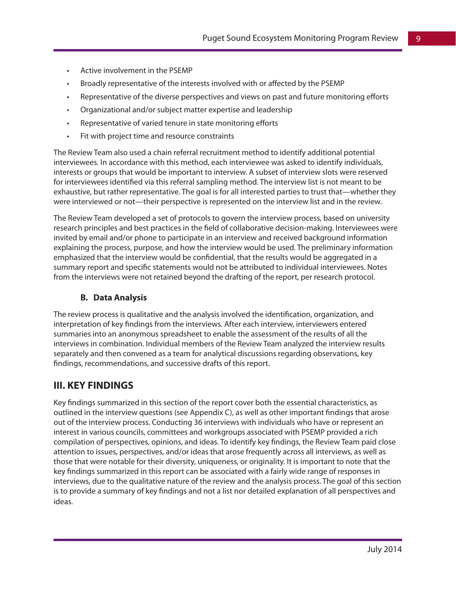- Active involvement in the PSEMP
- Broadly representative of the interests involved with or affected by the PSEMP
- Representative of the diverse perspectives and views on past and future monitoring efforts
- Organizational and/or subject matter expertise and leadership
- • Representative of varied tenure in state monitoring efforts
- Fit with project time and resource constraints

The Review Team also used a chain referral recruitment method to identify additional potential interviewees. In accordance with this method, each interviewee was asked to identify individuals, interests or groups that would be important to interview. A subset of interview slots were reserved for interviewees identified via this referral sampling method. The interview list is not meant to be exhaustive, but rather representative. The goal is for all interested parties to trust that—whether they were interviewed or not—their perspective is represented on the interview list and in the review.

The Review Team developed a set of protocols to govern the interview process, based on university research principles and best practices in the field of collaborative decision-making. Interviewees were invited by email and/or phone to participate in an interview and received background information explaining the process, purpose, and how the interview would be used. The preliminary information emphasized that the interview would be confidential, that the results would be aggregated in a summary report and specific statements would not be attributed to individual interviewees. Notes from the interviews were not retained beyond the drafting of the report, per research protocol.

#### **B. Data Analysis**

The review process is qualitative and the analysis involved the identification, organization, and interpretation of key findings from the interviews. After each interview, interviewers entered summaries into an anonymous spreadsheet to enable the assessment of the results of all the interviews in combination. Individual members of the Review Team analyzed the interview results separately and then convened as a team for analytical discussions regarding observations, key findings, recommendations, and successive drafts of this report.

### **III. KEY FINDINGS**

Key findings summarized in this section of the report cover both the essential characteristics, as outlined in the interview questions (see Appendix C), as well as other important findings that arose out of the interview process. Conducting 36 interviews with individuals who have or represent an interest in various councils, committees and workgroups associated with PSEMP provided a rich compilation of perspectives, opinions, and ideas. To identify key findings, the Review Team paid close attention to issues, perspectives, and/or ideas that arose frequently across all interviews, as well as those that were notable for their diversity, uniqueness, or originality. It is important to note that the key findings summarized in this report can be associated with a fairly wide range of responses in interviews, due to the qualitative nature of the review and the analysis process. The goal of this section is to provide a summary of key findings and not a list nor detailed explanation of all perspectives and ideas.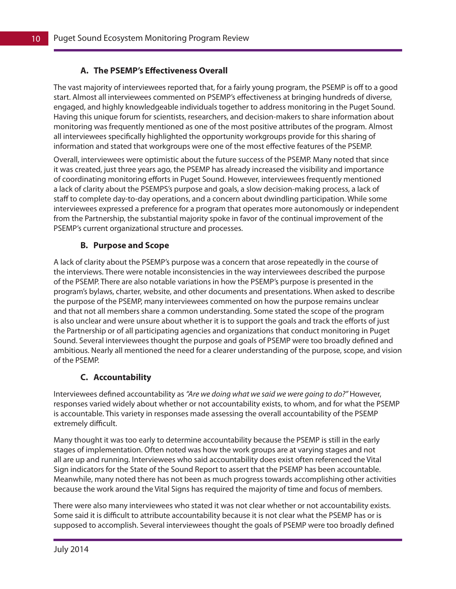#### **A. The PSEMP's Effectiveness Overall**

The vast majority of interviewees reported that, for a fairly young program, the PSEMP is off to a good start. Almost all interviewees commented on PSEMP's effectiveness at bringing hundreds of diverse, engaged, and highly knowledgeable individuals together to address monitoring in the Puget Sound. Having this unique forum for scientists, researchers, and decision-makers to share information about monitoring was frequently mentioned as one of the most positive attributes of the program. Almost all interviewees specifically highlighted the opportunity workgroups provide for this sharing of information and stated that workgroups were one of the most effective features of the PSEMP.

Overall, interviewees were optimistic about the future success of the PSEMP. Many noted that since it was created, just three years ago, the PSEMP has already increased the visibility and importance of coordinating monitoring efforts in Puget Sound. However, interviewees frequently mentioned a lack of clarity about the PSEMPS's purpose and goals, a slow decision-making process, a lack of staff to complete day-to-day operations, and a concern about dwindling participation. While some interviewees expressed a preference for a program that operates more autonomously or independent from the Partnership, the substantial majority spoke in favor of the continual improvement of the PSEMP's current organizational structure and processes.

#### **B. Purpose and Scope**

A lack of clarity about the PSEMP's purpose was a concern that arose repeatedly in the course of the interviews. There were notable inconsistencies in the way interviewees described the purpose of the PSEMP. There are also notable variations in how the PSEMP's purpose is presented in the program's bylaws, charter, website, and other documents and presentations. When asked to describe the purpose of the PSEMP, many interviewees commented on how the purpose remains unclear and that not all members share a common understanding. Some stated the scope of the program is also unclear and were unsure about whether it is to support the goals and track the efforts of just the Partnership or of all participating agencies and organizations that conduct monitoring in Puget Sound. Several interviewees thought the purpose and goals of PSEMP were too broadly defined and ambitious. Nearly all mentioned the need for a clearer understanding of the purpose, scope, and vision of the PSEMP.

#### **C. Accountability**

Interviewees defined accountability as *"Are we doing what we said we were going to do?"* However, responses varied widely about whether or not accountability exists, to whom, and for what the PSEMP is accountable. This variety in responses made assessing the overall accountability of the PSEMP extremely difficult.

Many thought it was too early to determine accountability because the PSEMP is still in the early stages of implementation. Often noted was how the work groups are at varying stages and not all are up and running. Interviewees who said accountability does exist often referenced the Vital Sign indicators for the State of the Sound Report to assert that the PSEMP has been accountable. Meanwhile, many noted there has not been as much progress towards accomplishing other activities because the work around the Vital Signs has required the majority of time and focus of members.

There were also many interviewees who stated it was not clear whether or not accountability exists. Some said it is difficult to attribute accountability because it is not clear what the PSEMP has or is supposed to accomplish. Several interviewees thought the goals of PSEMP were too broadly defined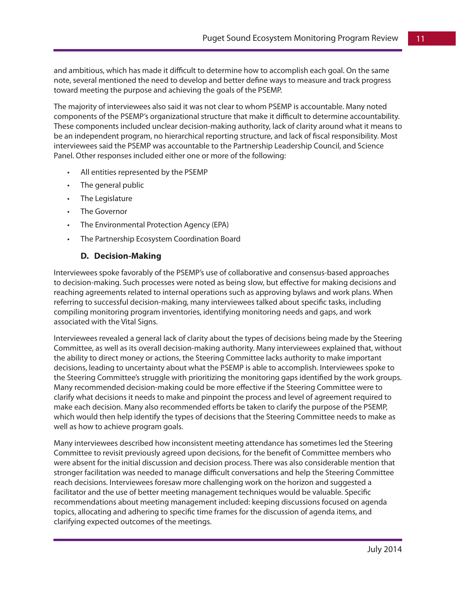and ambitious, which has made it difficult to determine how to accomplish each goal. On the same note, several mentioned the need to develop and better define ways to measure and track progress toward meeting the purpose and achieving the goals of the PSEMP.

The majority of interviewees also said it was not clear to whom PSEMP is accountable. Many noted components of the PSEMP's organizational structure that make it difficult to determine accountability. These components included unclear decision-making authority, lack of clarity around what it means to be an independent program, no hierarchical reporting structure, and lack of fiscal responsibility. Most interviewees said the PSEMP was accountable to the Partnership Leadership Council, and Science Panel. Other responses included either one or more of the following:

- All entities represented by the PSEMP
- The general public
- The Legislature
- The Governor
- • The Environmental Protection Agency (EPA)
- The Partnership Ecosystem Coordination Board

#### **D. Decision-Making**

Interviewees spoke favorably of the PSEMP's use of collaborative and consensus-based approaches to decision-making. Such processes were noted as being slow, but effective for making decisions and reaching agreements related to internal operations such as approving bylaws and work plans. When referring to successful decision-making, many interviewees talked about specific tasks, including compiling monitoring program inventories, identifying monitoring needs and gaps, and work associated with the Vital Signs.

Interviewees revealed a general lack of clarity about the types of decisions being made by the Steering Committee, as well as its overall decision-making authority. Many interviewees explained that, without the ability to direct money or actions, the Steering Committee lacks authority to make important decisions, leading to uncertainty about what the PSEMP is able to accomplish. Interviewees spoke to the Steering Committee's struggle with prioritizing the monitoring gaps identified by the work groups. Many recommended decision-making could be more effective if the Steering Committee were to clarify what decisions it needs to make and pinpoint the process and level of agreement required to make each decision. Many also recommended efforts be taken to clarify the purpose of the PSEMP, which would then help identify the types of decisions that the Steering Committee needs to make as well as how to achieve program goals.

Many interviewees described how inconsistent meeting attendance has sometimes led the Steering Committee to revisit previously agreed upon decisions, for the benefit of Committee members who were absent for the initial discussion and decision process. There was also considerable mention that stronger facilitation was needed to manage difficult conversations and help the Steering Committee reach decisions. Interviewees foresaw more challenging work on the horizon and suggested a facilitator and the use of better meeting management techniques would be valuable. Specific recommendations about meeting management included: keeping discussions focused on agenda topics, allocating and adhering to specific time frames for the discussion of agenda items, and clarifying expected outcomes of the meetings.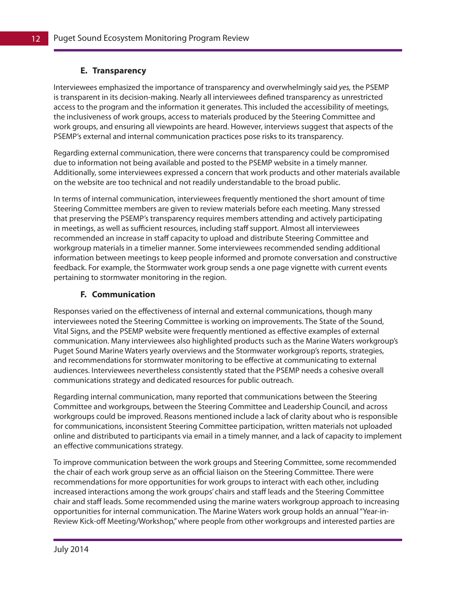#### **E. Transparency**

Interviewees emphasized the importance of transparency and overwhelmingly said *yes,* the PSEMP is transparent in its decision-making. Nearly all interviewees defined transparency as unrestricted access to the program and the information it generates. This included the accessibility of meetings, the inclusiveness of work groups, access to materials produced by the Steering Committee and work groups, and ensuring all viewpoints are heard. However, interviews suggest that aspects of the PSEMP's external and internal communication practices pose risks to its transparency.

Regarding external communication, there were concerns that transparency could be compromised due to information not being available and posted to the PSEMP website in a timely manner. Additionally, some interviewees expressed a concern that work products and other materials available on the website are too technical and not readily understandable to the broad public.

In terms of internal communication, interviewees frequently mentioned the short amount of time Steering Committee members are given to review materials before each meeting. Many stressed that preserving the PSEMP's transparency requires members attending and actively participating in meetings, as well as sufficient resources, including staff support. Almost all interviewees recommended an increase in staff capacity to upload and distribute Steering Committee and workgroup materials in a timelier manner. Some interviewees recommended sending additional information between meetings to keep people informed and promote conversation and constructive feedback. For example, the Stormwater work group sends a one page vignette with current events pertaining to stormwater monitoring in the region.

#### **F. Communication**

Responses varied on the effectiveness of internal and external communications, though many interviewees noted the Steering Committee is working on improvements. The State of the Sound, Vital Signs, and the PSEMP website were frequently mentioned as effective examples of external communication. Many interviewees also highlighted products such as the Marine Waters workgroup's Puget Sound Marine Waters yearly overviews and the Stormwater workgroup's reports, strategies, and recommendations for stormwater monitoring to be effective at communicating to external audiences. Interviewees nevertheless consistently stated that the PSEMP needs a cohesive overall communications strategy and dedicated resources for public outreach.

Regarding internal communication, many reported that communications between the Steering Committee and workgroups, between the Steering Committee and Leadership Council, and across workgroups could be improved. Reasons mentioned include a lack of clarity about who is responsible for communications, inconsistent Steering Committee participation, written materials not uploaded online and distributed to participants via email in a timely manner, and a lack of capacity to implement an effective communications strategy.

To improve communication between the work groups and Steering Committee, some recommended the chair of each work group serve as an official liaison on the Steering Committee. There were recommendations for more opportunities for work groups to interact with each other, including increased interactions among the work groups' chairs and staff leads and the Steering Committee chair and staff leads. Some recommended using the marine waters workgroup approach to increasing opportunities for internal communication. The Marine Waters work group holds an annual "Year-in-Review Kick-off Meeting/Workshop," where people from other workgroups and interested parties are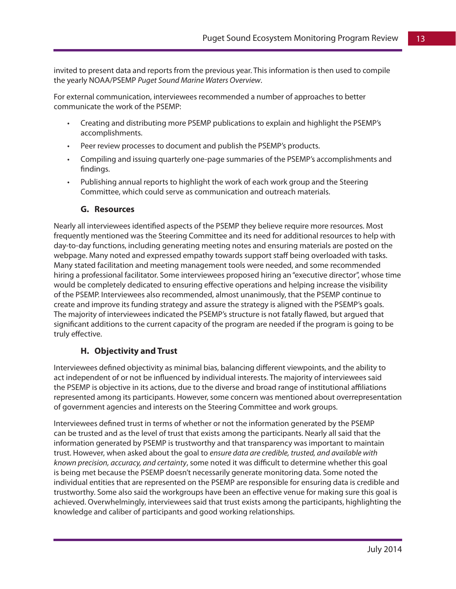invited to present data and reports from the previous year. This information is then used to compile the yearly NOAA/PSEMP *Puget Sound Marine Waters Overview*.

For external communication, interviewees recommended a number of approaches to better communicate the work of the PSEMP:

- • Creating and distributing more PSEMP publications to explain and highlight the PSEMP's accomplishments.
- Peer review processes to document and publish the PSEMP's products.
- Compiling and issuing quarterly one-page summaries of the PSEMP's accomplishments and findings.
- Publishing annual reports to highlight the work of each work group and the Steering Committee, which could serve as communication and outreach materials.

#### **G. Resources**

Nearly all interviewees identified aspects of the PSEMP they believe require more resources. Most frequently mentioned was the Steering Committee and its need for additional resources to help with day-to-day functions, including generating meeting notes and ensuring materials are posted on the webpage. Many noted and expressed empathy towards support staff being overloaded with tasks. Many stated facilitation and meeting management tools were needed, and some recommended hiring a professional facilitator. Some interviewees proposed hiring an "executive director", whose time would be completely dedicated to ensuring effective operations and helping increase the visibility of the PSEMP. Interviewees also recommended, almost unanimously, that the PSEMP continue to create and improve its funding strategy and assure the strategy is aligned with the PSEMP's goals. The majority of interviewees indicated the PSEMP's structure is not fatally flawed, but argued that significant additions to the current capacity of the program are needed if the program is going to be truly effective.

#### **H. Objectivity and Trust**

Interviewees defined objectivity as minimal bias, balancing different viewpoints, and the ability to act independent of or not be influenced by individual interests. The majority of interviewees said the PSEMP is objective in its actions, due to the diverse and broad range of institutional affiliations represented among its participants. However, some concern was mentioned about overrepresentation of government agencies and interests on the Steering Committee and work groups.

Interviewees defined trust in terms of whether or not the information generated by the PSEMP can be trusted and as the level of trust that exists among the participants. Nearly all said that the information generated by PSEMP is trustworthy and that transparency was important to maintain trust. However, when asked about the goal to *ensure data are credible, trusted, and available with known precision, accuracy, and certainty*, some noted it was difficult to determine whether this goal is being met because the PSEMP doesn't necessarily generate monitoring data. Some noted the individual entities that are represented on the PSEMP are responsible for ensuring data is credible and trustworthy. Some also said the workgroups have been an effective venue for making sure this goal is achieved. Overwhelmingly, interviewees said that trust exists among the participants, highlighting the knowledge and caliber of participants and good working relationships.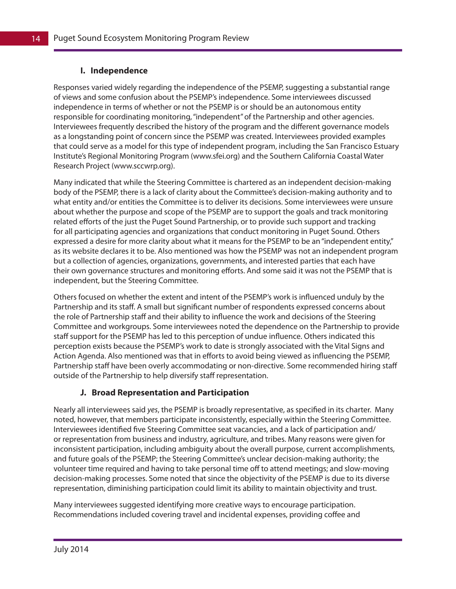#### **I. Independence**

Responses varied widely regarding the independence of the PSEMP, suggesting a substantial range of views and some confusion about the PSEMP's independence. Some interviewees discussed independence in terms of whether or not the PSEMP is or should be an autonomous entity responsible for coordinating monitoring, "independent" of the Partnership and other agencies. Interviewees frequently described the history of the program and the different governance models as a longstanding point of concern since the PSEMP was created. Interviewees provided examples that could serve as a model for this type of independent program, including the San Francisco Estuary Institute's Regional Monitoring Program (www.sfei.org) and the Southern California Coastal Water Research Project (www.sccwrp.org).

Many indicated that while the Steering Committee is chartered as an independent decision-making body of the PSEMP, there is a lack of clarity about the Committee's decision-making authority and to what entity and/or entities the Committee is to deliver its decisions. Some interviewees were unsure about whether the purpose and scope of the PSEMP are to support the goals and track monitoring related efforts of the just the Puget Sound Partnership, or to provide such support and tracking for all participating agencies and organizations that conduct monitoring in Puget Sound. Others expressed a desire for more clarity about what it means for the PSEMP to be an "independent entity," as its website declares it to be. Also mentioned was how the PSEMP was not an independent program but a collection of agencies, organizations, governments, and interested parties that each have their own governance structures and monitoring efforts. And some said it was not the PSEMP that is independent, but the Steering Committee.

Others focused on whether the extent and intent of the PSEMP's work is influenced unduly by the Partnership and its staff. A small but significant number of respondents expressed concerns about the role of Partnership staff and their ability to influence the work and decisions of the Steering Committee and workgroups. Some interviewees noted the dependence on the Partnership to provide staff support for the PSEMP has led to this perception of undue influence. Others indicated this perception exists because the PSEMP's work to date is strongly associated with the Vital Signs and Action Agenda. Also mentioned was that in efforts to avoid being viewed as influencing the PSEMP, Partnership staff have been overly accommodating or non-directive. Some recommended hiring staff outside of the Partnership to help diversify staff representation.

#### **J. Broad Representation and Participation**

Nearly all interviewees said *yes*, the PSEMP is broadly representative, as specified in its charter. Many noted, however, that members participate inconsistently, especially within the Steering Committee. Interviewees identified five Steering Committee seat vacancies, and a lack of participation and/ or representation from business and industry, agriculture, and tribes. Many reasons were given for inconsistent participation, including ambiguity about the overall purpose, current accomplishments, and future goals of the PSEMP; the Steering Committee's unclear decision-making authority; the volunteer time required and having to take personal time off to attend meetings; and slow-moving decision-making processes. Some noted that since the objectivity of the PSEMP is due to its diverse representation, diminishing participation could limit its ability to maintain objectivity and trust.

Many interviewees suggested identifying more creative ways to encourage participation. Recommendations included covering travel and incidental expenses, providing coffee and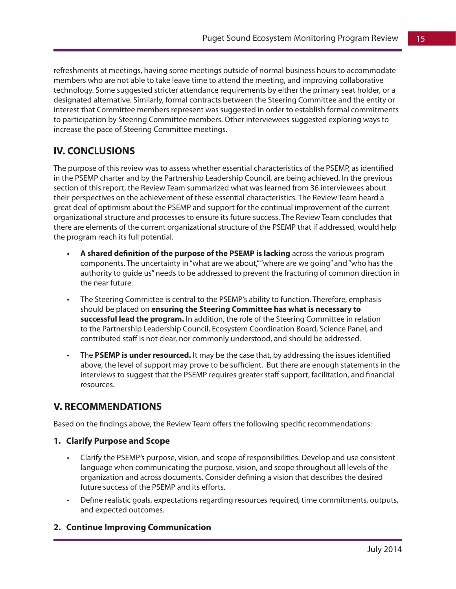refreshments at meetings, having some meetings outside of normal business hours to accommodate members who are not able to take leave time to attend the meeting, and improving collaborative technology. Some suggested stricter attendance requirements by either the primary seat holder, or a designated alternative. Similarly, formal contracts between the Steering Committee and the entity or interest that Committee members represent was suggested in order to establish formal commitments to participation by Steering Committee members. Other interviewees suggested exploring ways to increase the pace of Steering Committee meetings.

## **IV. CONCLUSIONS**

The purpose of this review was to assess whether essential characteristics of the PSEMP, as identified in the PSEMP charter and by the Partnership Leadership Council, are being achieved. In the previous section of this report, the Review Team summarized what was learned from 36 interviewees about their perspectives on the achievement of these essential characteristics. The Review Team heard a great deal of optimism about the PSEMP and support for the continual improvement of the current organizational structure and processes to ensure its future success. The Review Team concludes that there are elements of the current organizational structure of the PSEMP that if addressed, would help the program reach its full potential.

- A shared definition of the purpose of the PSEMP is lacking across the various program components. The uncertainty in "what are we about," "where are we going" and "who has the authority to guide us" needs to be addressed to prevent the fracturing of common direction in the near future.
- The Steering Committee is central to the PSEMP's ability to function. Therefore, emphasis should be placed on **ensuring the Steering Committee has what is necessary to successful lead the program.** In addition, the role of the Steering Committee in relation to the Partnership Leadership Council, Ecosystem Coordination Board, Science Panel, and contributed staff is not clear, nor commonly understood, and should be addressed.
- The PSEMP is under resourced. It may be the case that, by addressing the issues identified above, the level of support may prove to be sufficient. But there are enough statements in the interviews to suggest that the PSEMP requires greater staff support, facilitation, and financial resources.

## **V. RECOMMENDATIONS**

Based on the findings above, the Review Team offers the following specific recommendations:

#### **1. Clarify Purpose and Scope**

- Clarify the PSEMP's purpose, vision, and scope of responsibilities. Develop and use consistent language when communicating the purpose, vision, and scope throughout all levels of the organization and across documents. Consider defining a vision that describes the desired future success of the PSEMP and its efforts.
- Define realistic goals, expectations regarding resources required, time commitments, outputs, and expected outcomes.

#### **2. Continue Improving Communication**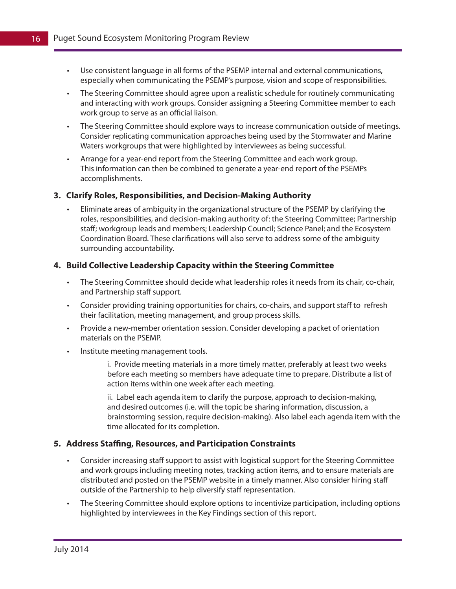- • Use consistent language in all forms of the PSEMP internal and external communications, especially when communicating the PSEMP's purpose, vision and scope of responsibilities.
- The Steering Committee should agree upon a realistic schedule for routinely communicating and interacting with work groups. Consider assigning a Steering Committee member to each work group to serve as an official liaison.
- • The Steering Committee should explore ways to increase communication outside of meetings. Consider replicating communication approaches being used by the Stormwater and Marine Waters workgroups that were highlighted by interviewees as being successful.
- • Arrange for a year-end report from the Steering Committee and each work group. This information can then be combined to generate a year-end report of the PSEMPs accomplishments.

#### **3. Clarify Roles, Responsibilities, and Decision-Making Authority**

Eliminate areas of ambiguity in the organizational structure of the PSEMP by clarifying the roles, responsibilities, and decision-making authority of: the Steering Committee; Partnership staff; workgroup leads and members; Leadership Council; Science Panel; and the Ecosystem Coordination Board. These clarifications will also serve to address some of the ambiguity surrounding accountability.

#### **4. Build Collective Leadership Capacity within the Steering Committee**

- The Steering Committee should decide what leadership roles it needs from its chair, co-chair, and Partnership staff support.
- • Consider providing training opportunities for chairs, co-chairs, and support staff to refresh their facilitation, meeting management, and group process skills.
- Provide a new-member orientation session. Consider developing a packet of orientation materials on the PSEMP.
- • Institute meeting management tools.
	- i. Provide meeting materials in a more timely matter, preferably at least two weeks before each meeting so members have adequate time to prepare. Distribute a list of action items within one week after each meeting.

ii. Label each agenda item to clarify the purpose, approach to decision-making, and desired outcomes (i.e. will the topic be sharing information, discussion, a brainstorming session, require decision-making). Also label each agenda item with the time allocated for its completion.

#### **5. Address Staffing, Resources, and Participation Constraints**

- • Consider increasing staff support to assist with logistical support for the Steering Committee and work groups including meeting notes, tracking action items, and to ensure materials are distributed and posted on the PSEMP website in a timely manner. Also consider hiring staff outside of the Partnership to help diversify staff representation.
- The Steering Committee should explore options to incentivize participation, including options highlighted by interviewees in the Key Findings section of this report.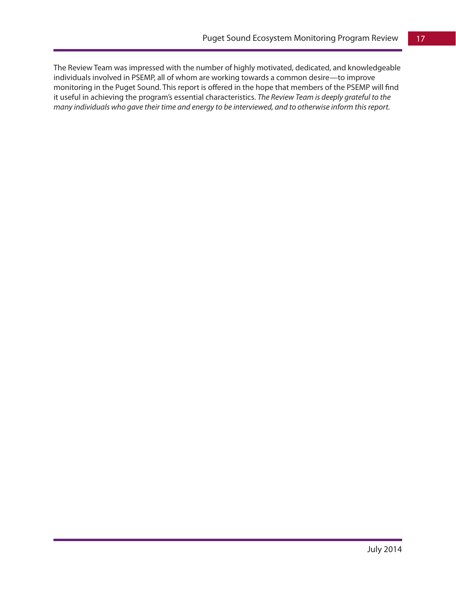The Review Team was impressed with the number of highly motivated, dedicated, and knowledgeable individuals involved in PSEMP, all of whom are working towards a common desire—to improve monitoring in the Puget Sound. This report is offered in the hope that members of the PSEMP will find it useful in achieving the program's essential characteristics. *The Review Team is deeply grateful to the many individuals who gave their time and energy to be interviewed, and to otherwise inform this report.*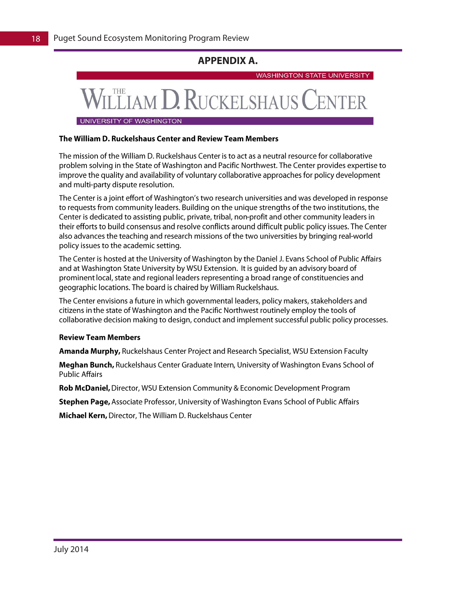## **APPENDIX A.**

**WASHINGTON STATE UNIVERSITY** 

## **M D. RUCKELSHAUS**

UNIVERSITY OF WASHINGTON

#### The William D. Ruckelshaus Center and Review Team Members

The mission of the William D. Ruckelshaus Center is to act as a neutral resource for collaborative problem solving in the State of Washington and Pacific Northwest. The Center provides expertise to improve the quality and availability of voluntary collaborative approaches for policy development and multi-party dispute resolution.

The Center is a joint effort of Washington's two research universities and was developed in response to requests from community leaders. Building on the unique strengths of the two institutions, the Center is dedicated to assisting public, private, tribal, non-profit and other community leaders in their efforts to build consensus and resolve conflicts around difficult public policy issues. The Center also advances the teaching and research missions of the two universities by bringing real-world policy issues to the academic setting.

The Center is hosted at the University of Washington by the Daniel J. Evans School of Public Affairs and at Washington State University by WSU Extension. It is guided by an advisory board of prominent local, state and regional leaders representing a broad range of constituencies and geographic locations. The board is chaired by William Ruckelshaus.

The Center envisions a future in which governmental leaders, policy makers, stakeholders and citizens in the state of Washington and the Pacific Northwest routinely employ the tools of collaborative decision making to design, conduct and implement successful public policy processes.

#### **Review Team Members**

Amanda Murphy, Ruckelshaus Center Project and Research Specialist, WSU Extension Faculty

Meghan Bunch, Ruckelshaus Center Graduate Intern, University of Washington Evans School of **Public Affairs** 

Rob McDaniel, Director, WSU Extension Community & Economic Development Program

Stephen Page, Associate Professor, University of Washington Evans School of Public Affairs

Michael Kern, Director, The William D. Ruckelshaus Center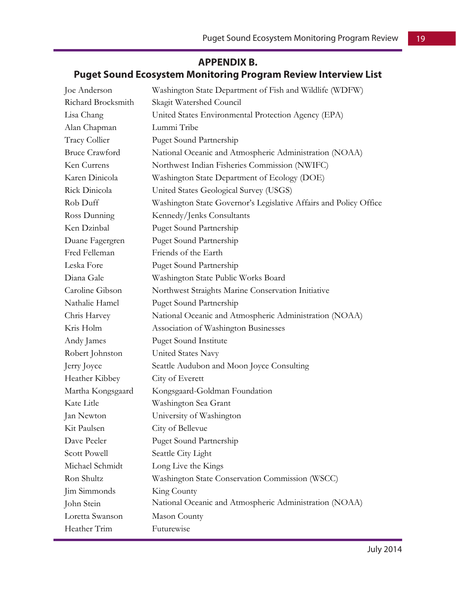## **APPENDIX B.**

## **Puget Sound Ecosystem Monitoring Program Review Interview List**

| Joe Anderson          | Washington State Department of Fish and Wildlife (WDFW)           |
|-----------------------|-------------------------------------------------------------------|
| Richard Brocksmith    | Skagit Watershed Council                                          |
| Lisa Chang            | United States Environmental Protection Agency (EPA)               |
| Alan Chapman          | Lummi Tribe                                                       |
| Tracy Collier         | <b>Puget Sound Partnership</b>                                    |
| <b>Bruce Crawford</b> | National Oceanic and Atmospheric Administration (NOAA)            |
| Ken Currens           | Northwest Indian Fisheries Commission (NWIFC)                     |
| Karen Dinicola        | Washington State Department of Ecology (DOE)                      |
| Rick Dinicola         | United States Geological Survey (USGS)                            |
| Rob Duff              | Washington State Governor's Legislative Affairs and Policy Office |
| Ross Dunning          | Kennedy/Jenks Consultants                                         |
| Ken Dzinbal           | <b>Puget Sound Partnership</b>                                    |
| Duane Fagergren       | <b>Puget Sound Partnership</b>                                    |
| Fred Felleman         | Friends of the Earth                                              |
| Leska Fore            | Puget Sound Partnership                                           |
| Diana Gale            | Washington State Public Works Board                               |
| Caroline Gibson       | Northwest Straights Marine Conservation Initiative                |
| Nathalie Hamel        | Puget Sound Partnership                                           |
| Chris Harvey          | National Oceanic and Atmospheric Administration (NOAA)            |
| Kris Holm             | Association of Washington Businesses                              |
| Andy James            | <b>Puget Sound Institute</b>                                      |
| Robert Johnston       | United States Navy                                                |
| Jerry Joyce           | Seattle Audubon and Moon Joyce Consulting                         |
| Heather Kibbey        | City of Everett                                                   |
| Martha Kongsgaard     | Kongsgaard-Goldman Foundation                                     |
| Kate Litle            | Washington Sea Grant                                              |
| Jan Newton            | University of Washington                                          |
| Kit Paulsen           | City of Bellevue                                                  |
| Dave Peeler           | <b>Puget Sound Partnership</b>                                    |
| <b>Scott Powell</b>   | Seattle City Light                                                |
| Michael Schmidt       | Long Live the Kings                                               |
| Ron Shultz            | Washington State Conservation Commission (WSCC)                   |
| Jim Simmonds          | King County                                                       |
| John Stein            | National Oceanic and Atmospheric Administration (NOAA)            |
| Loretta Swanson       | Mason County                                                      |
| Heather Trim          | Futurewise                                                        |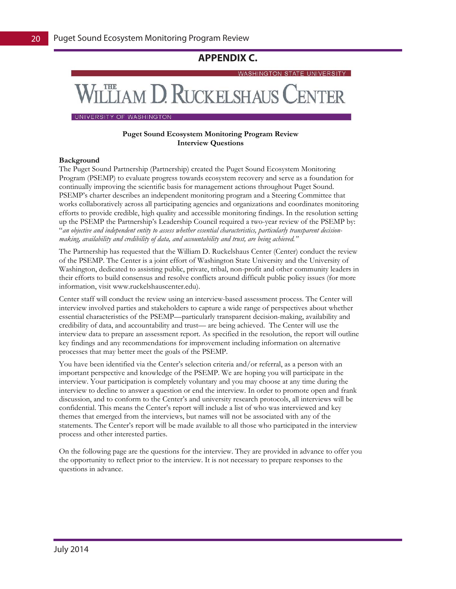### **APPENDIX C.**

**WASHINGTON STATE UNIVERSITY** 

## **CELIAM D. RUCKELSHAUS CENTER**

UNIVERSITY OF WASHINGTON

#### **Puget Sound Ecosystem Monitoring Program Review Interview Questions**

#### **Background**

The Puget Sound Partnership (Partnership) created the Puget Sound Ecosystem Monitoring Program (PSEMP) to evaluate progress towards ecosystem recovery and serve as a foundation for continually improving the scientific basis for management actions throughout Puget Sound. PSEMP's charter describes an independent monitoring program and a Steering Committee that works collaboratively across all participating agencies and organizations and coordinates monitoring efforts to provide credible, high quality and accessible monitoring findings. In the resolution setting up the PSEMP the Partnership's Leadership Council required a two-year review of the PSEMP by: "*an objective and independent entity to assess whether essential characteristics, particularly transparent decisionmaking, availability and credibility of data, and accountability and trust, are being achieved."*

The Partnership has requested that the William D. Ruckelshaus Center (Center) conduct the review of the PSEMP. The Center is a joint effort of Washington State University and the University of Washington, dedicated to assisting public, private, tribal, non-profit and other community leaders in their efforts to build consensus and resolve conflicts around difficult public policy issues (for more information, visit www.ruckelshauscenter.edu).

Center staff will conduct the review using an interview-based assessment process. The Center will interview involved parties and stakeholders to capture a wide range of perspectives about whether essential characteristics of the PSEMP—particularly transparent decision-making, availability and credibility of data, and accountability and trust— are being achieved. The Center will use the interview data to prepare an assessment report. As specified in the resolution, the report will outline key findings and any recommendations for improvement including information on alternative processes that may better meet the goals of the PSEMP.

You have been identified via the Center's selection criteria and/or referral, as a person with an important perspective and knowledge of the PSEMP. We are hoping you will participate in the interview. Your participation is completely voluntary and you may choose at any time during the interview to decline to answer a question or end the interview. In order to promote open and frank discussion, and to conform to the Center's and university research protocols, all interviews will be confidential. This means the Center's report will include a list of who was interviewed and key themes that emerged from the interviews, but names will not be associated with any of the statements. The Center's report will be made available to all those who participated in the interview process and other interested parties.

On the following page are the questions for the interview. They are provided in advance to offer you the opportunity to reflect prior to the interview. It is not necessary to prepare responses to the questions in advance.